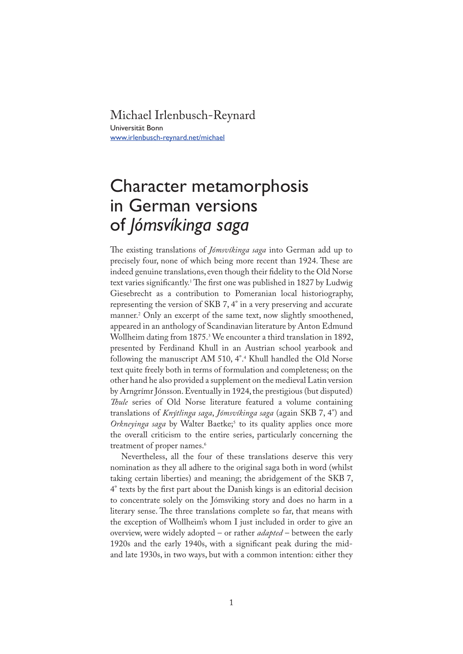## Michael Irlenbusch-Reynard

Universität Bonn www.irlenbusch-reynard.net/michael

## Character metamorphosis in German versions of *Jómsvíkinga saga*

�e existing translations of *Jómsvíkinga saga* into German add up to precisely four, none of which being more recent than 1924. These are indeed genuine translations, even though their fidelity to the Old Norse text varies significantly.<sup>1</sup> The first one was published in 1827 by Ludwig Giesebrecht as a contribution to Pomeranian local historiography, representing the version of SKB 7, 4° in a very preserving and accurate manner.<sup>2</sup> Only an excerpt of the same text, now slightly smoothened, appeared in an anthology of Scandinavian literature by Anton Edmund Wollheim dating from 1875.<sup>3</sup> We encounter a third translation in 1892, presented by Ferdinand Khull in an Austrian school yearbook and following the manuscript AM 510, 4°.<sup>4</sup> Khull handled the Old Norse text quite freely both in terms of formulation and completeness; on the other hand he also provided a supplement on the medieval Latin version by Arngrímr Jónsson. Eventually in 1924, the prestigious (but disputed) *Thule* series of Old Norse literature featured a volume containing translations of *Knýtlinga saga*, *Jómsvíkinga saga* (again SKB 7, 4°) and *Orkneyinga saga* by Walter Baetke;<sup>5</sup> to its quality applies once more the overall criticism to the entire series, particularly concerning the treatment of proper names.<sup>6</sup>

Nevertheless, all the four of these translations deserve this very nomination as they all adhere to the original saga both in word (whilst taking certain liberties) and meaning; the abridgement of the SKB 7, 4° texts by the �rst part about the Danish kings is an editorial decision to concentrate solely on the Jómsviking story and does no harm in a literary sense. The three translations complete so far, that means with the exception of Wollheim's whom I just included in order to give an overview, were widely adopted – or rather *adapted* – between the early 1920s and the early 1940s, with a significant peak during the midand late 1930s, in two ways, but with a common intention: either they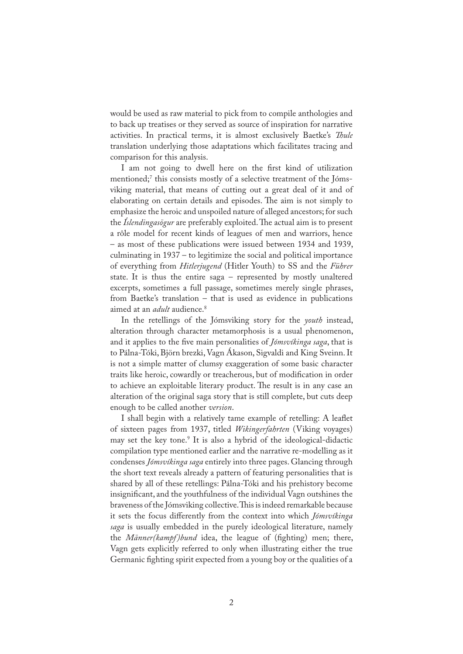would be used as raw material to pick from to compile anthologies and to back up treatises or they served as source of inspiration for narrative activities. In practical terms, it is almost exclusively Baetke's *�ule* translation underlying those adaptations which facilitates tracing and comparison for this analysis.

I am not going to dwell here on the first kind of utilization mentioned;<sup>7</sup> this consists mostly of a selective treatment of the Jómsviking material, that means of cutting out a great deal of it and of elaborating on certain details and episodes. The aim is not simply to emphasize the heroic and unspoiled nature of alleged ancestors; for such the *Íslendingasögur* are preferably exploited. The actual aim is to present a rôle model for recent kinds of leagues of men and warriors, hence – as most of these publications were issued between 1934 and 1939, culminating in 1937 – to legitimize the social and political importance of everything from *Hitlerjugend* (Hitler Youth) to SS and the *Führer* state. It is thus the entire saga – represented by mostly unaltered excerpts, sometimes a full passage, sometimes merely single phrases, from Baetke's translation – that is used as evidence in publications aimed at an *adult* audience.<sup>8</sup>

In the retellings of the Jómsviking story for the *youth* instead, alteration through character metamorphosis is a usual phenomenon, and it applies to the five main personalities of *Jómsvíkinga saga*, that is to Pálna-Tóki, Björn brezki, Vagn Ákason, Sigvaldi and King Sveinn. It is not a simple matter of clumsy exaggeration of some basic character traits like heroic, cowardly or treacherous, but of modification in order to achieve an exploitable literary product. The result is in any case an alteration of the original saga story that is still complete, but cuts deep enough to be called another *version*.

I shall begin with a relatively tame example of retelling: A leaflet of sixteen pages from 1937, titled *Wikingerfahrten* (Viking voyages) may set the key tone.9 It is also a hybrid of the ideological-didactic compilation type mentioned earlier and the narrative re-modelling as it condenses *Jómsvíkinga saga* entirely into three pages. Glancing through the short text reveals already a pattern of featuring personalities that is shared by all of these retellings: Pálna-Tóki and his prehistory become insignificant, and the youthfulness of the individual Vagn outshines the braveness of the Jómsviking collective. This is indeed remarkable because it sets the focus differently from the context into which *Jómsvíkinga saga* is usually embedded in the purely ideological literature, namely the *Männer(kampf)bund* idea, the league of (fighting) men; there, Vagn gets explicitly referred to only when illustrating either the true Germanic fighting spirit expected from a young boy or the qualities of a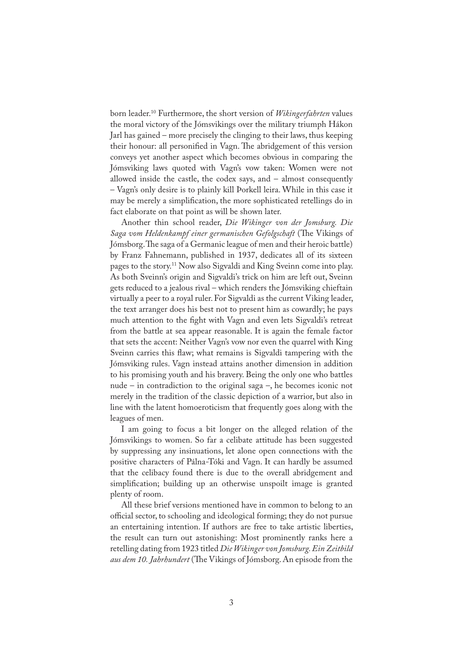born leader.10 Furthermore, the short version of *Wikingerfahrten* values the moral victory of the Jómsvikings over the military triumph Hákon Jarl has gained – more precisely the clinging to their laws, thus keeping their honour: all personified in Vagn. The abridgement of this version conveys yet another aspect which becomes obvious in comparing the Jómsviking laws quoted with Vagn's vow taken: Women were not allowed inside the castle, the codex says, and – almost consequently – Vagn's only desire is to plainly kill Þorkell leira. While in this case it may be merely a simplification, the more sophisticated retellings do in fact elaborate on that point as will be shown later.

Another thin school reader, *Die Wikinger von der Jomsburg. Die*  Saga vom Heldenkampf einer germanischen Gefolgschaft (The Vikings of Jómsborg. The saga of a Germanic league of men and their heroic battle) by Franz Fahnemann, published in 1937, dedicates all of its sixteen pages to the story.11 Now also Sigvaldi and King Sveinn come into play. As both Sveinn's origin and Sigvaldi's trick on him are left out, Sveinn gets reduced to a jealous rival – which renders the Jómsviking chieftain virtually a peer to a royal ruler. For Sigvaldi as the current Viking leader, the text arranger does his best not to present him as cowardly; he pays much attention to the fight with Vagn and even lets Sigvaldi's retreat from the battle at sea appear reasonable. It is again the female factor that sets the accent: Neither Vagn's vow nor even the quarrel with King Sveinn carries this flaw; what remains is Sigvaldi tampering with the Jómsviking rules. Vagn instead attains another dimension in addition to his promising youth and his bravery. Being the only one who battles nude – in contradiction to the original saga –, he becomes iconic not merely in the tradition of the classic depiction of a warrior, but also in line with the latent homoeroticism that frequently goes along with the leagues of men.

I am going to focus a bit longer on the alleged relation of the Jómsvikings to women. So far a celibate attitude has been suggested by suppressing any insinuations, let alone open connections with the positive characters of Pálna-Tóki and Vagn. It can hardly be assumed that the celibacy found there is due to the overall abridgement and simplification; building up an otherwise unspoilt image is granted plenty of room.

All these brief versions mentioned have in common to belong to an official sector, to schooling and ideological forming; they do not pursue an entertaining intention. If authors are free to take artistic liberties, the result can turn out astonishing: Most prominently ranks here a retelling dating from 1923 titled *Die Wikinger von Jomsburg. Ein Zeitbild aus dem 10. Jahrhundert* (�e Vikings of Jómsborg. An episode from the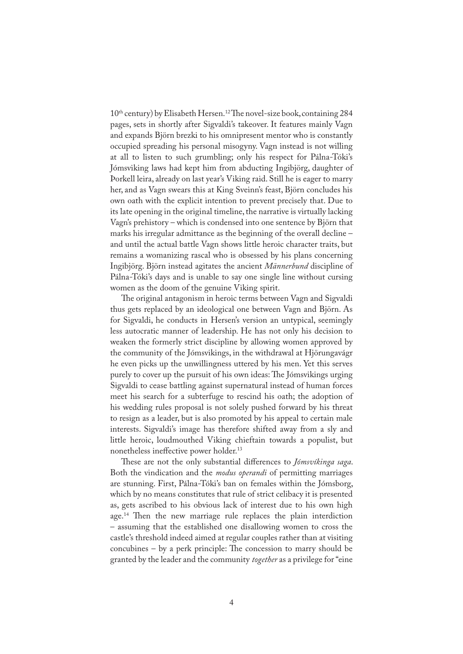10<sup>th</sup> century) by Elisabeth Hersen.<sup>12</sup> The novel-size book, containing 284 pages, sets in shortly after Sigvaldi's takeover. It features mainly Vagn and expands Björn brezki to his omnipresent mentor who is constantly occupied spreading his personal misogyny. Vagn instead is not willing at all to listen to such grumbling; only his respect for Pálna-Tóki's Jómsviking laws had kept him from abducting Ingibjörg, daughter of Þorkell leira, already on last year's Viking raid. Still he is eager to marry her, and as Vagn swears this at King Sveinn's feast, Björn concludes his own oath with the explicit intention to prevent precisely that. Due to its late opening in the original timeline, the narrative is virtually lacking Vagn's prehistory – which is condensed into one sentence by Björn that marks his irregular admittance as the beginning of the overall decline – and until the actual battle Vagn shows little heroic character traits, but remains a womanizing rascal who is obsessed by his plans concerning Ingibjörg. Björn instead agitates the ancient *Männerbund* discipline of Pálna-Tóki's days and is unable to say one single line without cursing women as the doom of the genuine Viking spirit.

�e original antagonism in heroic terms between Vagn and Sigvaldi thus gets replaced by an ideological one between Vagn and Björn. As for Sigvaldi, he conducts in Hersen's version an untypical, seemingly less autocratic manner of leadership. He has not only his decision to weaken the formerly strict discipline by allowing women approved by the community of the Jómsvikings, in the withdrawal at Hjörungavágr he even picks up the unwillingness uttered by his men. Yet this serves purely to cover up the pursuit of his own ideas: The Jómsvikings urging Sigvaldi to cease battling against supernatural instead of human forces meet his search for a subterfuge to rescind his oath; the adoption of his wedding rules proposal is not solely pushed forward by his threat to resign as a leader, but is also promoted by his appeal to certain male interests. Sigvaldi's image has therefore shifted away from a sly and little heroic, loudmouthed Viking chieftain towards a populist, but nonetheless ineffective power holder.<sup>13</sup>

These are not the only substantial differences to *Jómsvíkinga saga*. Both the vindication and the *modus operandi* of permitting marriages are stunning. First, Pálna-Tóki's ban on females within the Jómsborg, which by no means constitutes that rule of strict celibacy it is presented as, gets ascribed to his obvious lack of interest due to his own high age.<sup>14</sup> Then the new marriage rule replaces the plain interdiction – assuming that the established one disallowing women to cross the castle's threshold indeed aimed at regular couples rather than at visiting concubines  $-$  by a perk principle: The concession to marry should be granted by the leader and the community *together* as a privilege for "eine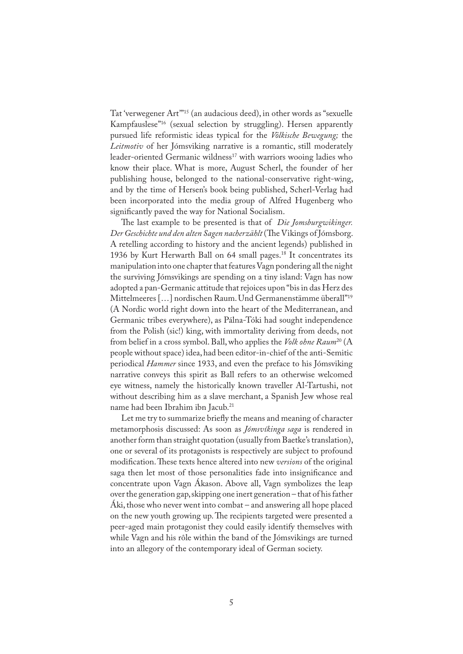Tat 'verwegener Art'"15 (an audacious deed), in other words as "sexuelle Kampfauslese"16 (sexual selection by struggling). Hersen apparently pursued life reformistic ideas typical for the *Völkische Bewegung;* the *Leitmotiv* of her Jómsviking narrative is a romantic, still moderately leader-oriented Germanic wildness<sup>17</sup> with warriors wooing ladies who know their place. What is more, August Scherl, the founder of her publishing house, belonged to the national-conservative right-wing, and by the time of Hersen's book being published, Scherl-Verlag had been incorporated into the media group of Alfred Hugenberg who significantly paved the way for National Socialism.

�e last example to be presented is that of *Die Jomsburgwikinger.*  Der Geschichte und den alten Sagen nacherzählt (The Vikings of Jómsborg. A retelling according to history and the ancient legends) published in 1936 by Kurt Herwarth Ball on 64 small pages.<sup>18</sup> It concentrates its manipulation into one chapter that features Vagn pondering all the night the surviving Jómsvikings are spending on a tiny island: Vagn has now adopted a pan-Germanic attitude that rejoices upon "bis in das Herz des Mittelmeeres […] nordischen Raum. Und Germanenstämme überall"19 (A Nordic world right down into the heart of the Mediterranean, and Germanic tribes everywhere), as Pálna-Tóki had sought independence from the Polish (sic!) king, with immortality deriving from deeds, not from belief in a cross symbol. Ball, who applies the *Volk ohne Raum*20 (A people without space) idea, had been editor-in-chief of the anti-Semitic periodical *Hammer* since 1933, and even the preface to his Jómsviking narrative conveys this spirit as Ball refers to an otherwise welcomed eye witness, namely the historically known traveller Al-Tartushi, not without describing him as a slave merchant, a Spanish Jew whose real name had been Ibrahim ibn Jacub.21

Let me try to summarize briefly the means and meaning of character metamorphosis discussed: As soon as *Jómsvíkinga saga* is rendered in another form than straight quotation (usually from Baetke's translation), one or several of its protagonists is respectively are subject to profound modification. These texts hence altered into new *versions* of the original saga then let most of those personalities fade into insignificance and concentrate upon Vagn Ákason. Above all, Vagn symbolizes the leap over the generation gap, skipping one inert generation – that of his father Áki, those who never went into combat – and answering all hope placed on the new youth growing up. The recipients targeted were presented a peer-aged main protagonist they could easily identify themselves with while Vagn and his rôle within the band of the Jómsvikings are turned into an allegory of the contemporary ideal of German society.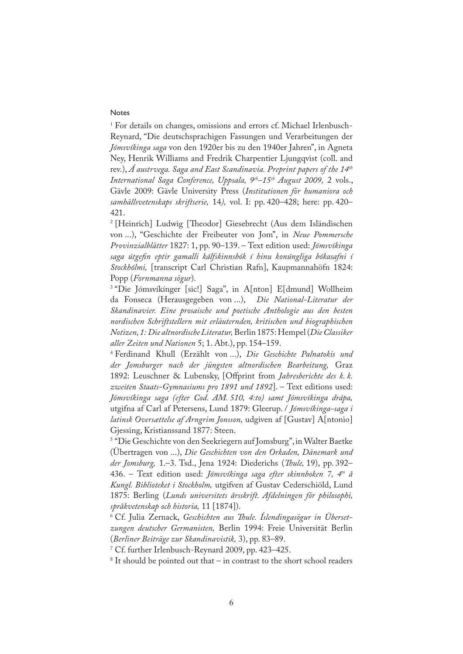## Notes

1 For details on changes, omissions and errors cf. Michael Irlenbusch-Reynard, "Die deutschsprachigen Fassungen und Verarbeitungen der *Jómsvíkinga saga* von den 1920er bis zu den 1940er Jahren", in Agneta Ney, Henrik Williams and Fredrik Charpentier Ljungqvist (coll. and rev.), *Á austrvega. Saga and East Scandinavia. Preprint papers of the 14th International Saga Conference, Uppsala, 9th–15th August 2009,* 2 vols., Gävle 2009: Gävle University Press (*Institutionen för humaniora och samhällsvetenskaps skriftserie,* 14*),* vol. I: pp. 420–428; here: pp. 420– 421.

<sup>2</sup> [Heinrich] Ludwig [Theodor] Giesebrecht (Aus dem Isländischen von ...), "Geschichte der Freibeuter von Jom", in *Neue Pommersche Provinzialblätter* 1827: 1, pp. 90–139. – Text edition used: *Jómsvíkinga saga útge�n eptir gamalli kálfskinnsbók í hinu konúngliga bókasafni í Stockhólmi,* [transcript Carl Christian Rafn], Kaupmannahöfn 1824: Popp (*Fornmanna sögur*).

<sup>3</sup> "Die Jómsvíkínger [sic!] Saga", in A[nton] E[dmund] Wollheim da Fonseca (Herausgegeben von ...), *Die National-Literatur der Skandinavier. Eine prosaische und poetische Anthologie aus den besten nordischen Schriftstellern mit erläuternden, kritischen und biographischen Notizen, 1: Die altnordische Literatur,* Berlin 1875: Hempel (*Die Classiker aller Zeiten und Nationen* 5; 1. Abt.), pp. 154–159.

4 Ferdinand Khull (Erzählt von ...), *Die Geschichte Palnatokis und der Jomsburger nach der jüngsten altnordischen Bearbeitung,* Graz 1892: Leuschner & Lubensky, [Offprint from *Jahresberichte des k. k. zweiten Staats-Gymnasiums pro 1891 und 1892*]. – Text editions used: *Jómsvíkinga saga (efter Cod. AM. 510, 4:to) samt Jómsvíkinga drápa,* utgifna af Carl af Petersens, Lund 1879: Gleerup. / *Jómsvíkinga-saga i latinsk Oversættelse af Arngrim Jonsson,* udgiven af [Gustav] A[ntonio] Gjessing, Kristianssand 1877: Steen.

5 "Die Geschichte von den Seekriegern auf Jomsburg", in Walter Baetke (Übertragen von ...), *Die Geschichten von den Orkaden, Dänemark und der Jomsburg,* 1.–3. Tsd., Jena 1924: Diederichs (*�ule,* 19), pp. 392– 436. – Text edition used: *Jómsvíkinga saga efter skinnboken 7, 4to å Kungl. Biblioteket i Stockholm,* utgifven af Gustav Cederschiöld, Lund 1875: Berling (*Lunds universitets årsskrift. Afdelningen för philosophi, språkvetenskap och historia,* 11 [1874]).

<sup>6</sup> Cf. Julia Zernack, *Geschichten aus Thule. Islendingasögur in Ubersetzungen deutscher Germanisten,* Berlin 1994: Freie Universität Berlin (*Berliner Beiträge zur Skandinavistik,* 3), pp. 83–89.

7 Cf. further Irlenbusch-Reynard 2009, pp. 423–425.

8 It should be pointed out that – in contrast to the short school readers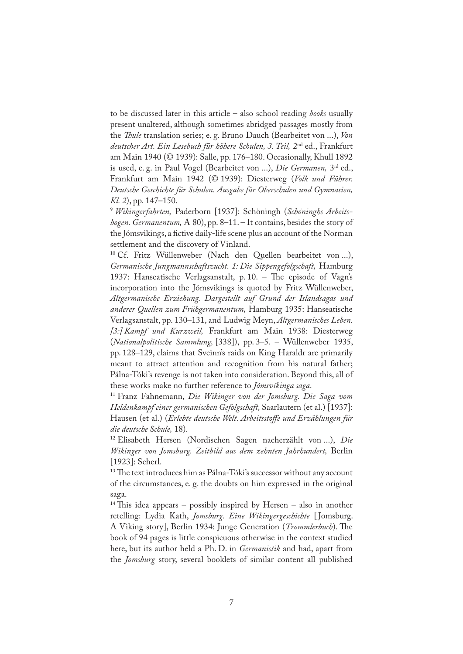to be discussed later in this article – also school reading *books* usually present unaltered, although sometimes abridged passages mostly from the *�ule* translation series; e. g. Bruno Dauch (Bearbeitet von ...), *Von deutscher Art. Ein Lesebuch für höhere Schulen, 3.Teil,* 2nd ed., Frankfurt am Main 1940 (© 1939): Salle, pp. 176–180. Occasionally, Khull 1892 is used, e. g. in Paul Vogel (Bearbeitet von ...), *Die Germanen,* 3rd ed., Frankfurt am Main 1942 (© 1939): Diesterweg (*Volk und Führer. Deutsche Geschichte für Schulen. Ausgabe für Oberschulen und Gymnasien, Kl. 2*), pp. 147–150.

<sup>9</sup> *Wikingerfahrten,* Paderborn [1937]: Schöningh (*Schöninghs Arbeitsbogen. Germanentum,* A 80), pp. 8–11. – It contains, besides the story of the Jómsvikings, a fictive daily-life scene plus an account of the Norman settlement and the discovery of Vinland.

10 Cf. Fritz Wüllenweber (Nach den Quellen bearbeitet von ...), *Germanische Jungmannschaftszucht. 1: Die Sippengefolgschaft,* Hamburg 1937: Hanseatische Verlagsanstalt, p. 10. - The episode of Vagn's incorporation into the Jómsvikings is quoted by Fritz Wüllenweber, *Altgermanische Erziehung. Dargestellt auf Grund der Islandsagas und anderer Quellen zum Frühgermanentum,* Hamburg 1935: Hanseatische Verlagsanstalt, pp. 130–131, and Ludwig Meyn, *Altgermanisches Leben. [3:] Kampf und Kurzweil,* Frankfurt am Main 1938: Diesterweg (*Nationalpolitische Sammlung,* [338]), pp. 3–5. – Wüllenweber 1935, pp. 128–129, claims that Sveinn's raids on King Haraldr are primarily meant to attract attention and recognition from his natural father; Pálna-Tóki's revenge is not taken into consideration. Beyond this, all of these works make no further reference to *Jómsvíkinga saga*.

11 Franz Fahnemann, *Die Wikinger von der Jomsburg. Die Saga vom Heldenkampf einer germanischen Gefolgschaft,* Saarlautern (et al.) [1937]: Hausen (et al.) (*Erlebte deutsche Welt. Arbeitsstoffe und Erzählungen für die deutsche Schule,* 18).

12 Elisabeth Hersen (Nordischen Sagen nacherzählt von ...), *Die Wikinger von Jomsburg. Zeitbild aus dem zehnten Jahrhundert,* Berlin [1923]: Scherl.

<sup>13</sup> The text introduces him as Pálna-Tóki's successor without any account of the circumstances, e. g. the doubts on him expressed in the original saga.

<sup>14</sup> This idea appears – possibly inspired by Hersen – also in another retelling: Lydia Kath, *Jomsburg. Eine Wikingergeschichte* [ Jomsburg. A Viking story], Berlin 1934: Junge Generation (*Trommlerbuch*). The book of 94 pages is little conspicuous otherwise in the context studied here, but its author held a Ph. D. in *Germanistik* and had, apart from the *Jomsburg* story, several booklets of similar content all published